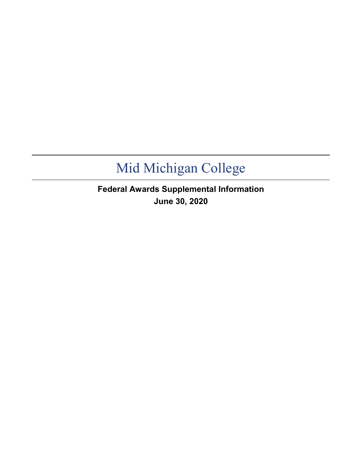**Federal Awards Supplemental Information June 30, 2020**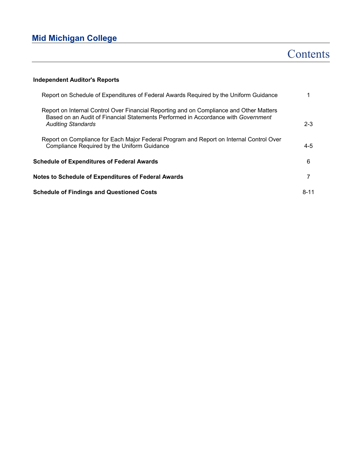# Contents

## **Independent Auditor's Reports**

| Report on Schedule of Expenditures of Federal Awards Required by the Uniform Guidance                                                                                                                     |          |
|-----------------------------------------------------------------------------------------------------------------------------------------------------------------------------------------------------------|----------|
| Report on Internal Control Over Financial Reporting and on Compliance and Other Matters<br>Based on an Audit of Financial Statements Performed in Accordance with Government<br><b>Auditing Standards</b> | $2 - 3$  |
| Report on Compliance for Each Major Federal Program and Report on Internal Control Over<br>Compliance Required by the Uniform Guidance                                                                    | 4-5      |
| <b>Schedule of Expenditures of Federal Awards</b>                                                                                                                                                         | 6        |
| <b>Notes to Schedule of Expenditures of Federal Awards</b>                                                                                                                                                |          |
| <b>Schedule of Findings and Questioned Costs</b>                                                                                                                                                          | $8 - 11$ |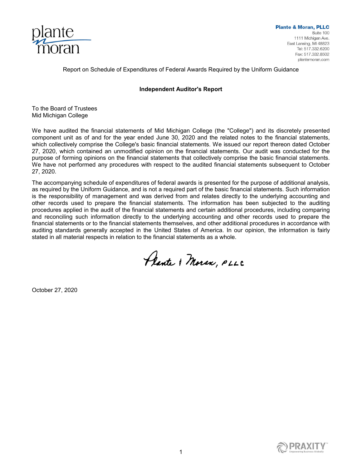

Report on Schedule of Expenditures of Federal Awards Required by the Uniform Guidance

#### **Independent Auditor's Report**

To the Board of Trustees Mid Michigan College

We have audited the financial statements of Mid Michigan College (the "College") and its discretely presented component unit as of and for the year ended June 30, 2020 and the related notes to the financial statements, which collectively comprise the College's basic financial statements. We issued our report thereon dated October 27, 2020, which contained an unmodified opinion on the financial statements. Our audit was conducted for the purpose of forming opinions on the financial statements that collectively comprise the basic financial statements. We have not performed any procedures with respect to the audited financial statements subsequent to October 27, 2020.

The accompanying schedule of expenditures of federal awards is presented for the purpose of additional analysis, as required by the Uniform Guidance, and is not a required part of the basic financial statements. Such information is the responsibility of management and was derived from and relates directly to the underlying accounting and other records used to prepare the financial statements. The information has been subjected to the auditing procedures applied in the audit of the financial statements and certain additional procedures, including comparing and reconciling such information directly to the underlying accounting and other records used to prepare the financial statements or to the financial statements themselves, and other additional procedures in accordance with auditing standards generally accepted in the United States of America. In our opinion, the information is fairly stated in all material respects in relation to the financial statements as a whole.

Plante & Moran, PLLC

October 27, 2020

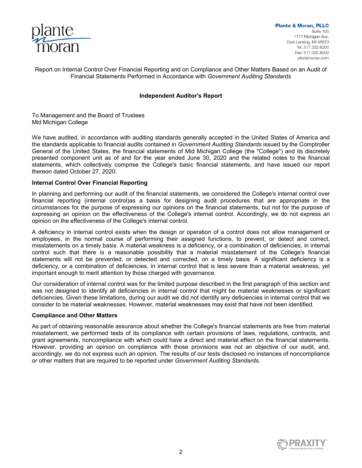

Report on Internal Control Over Financial Reporting and on Compliance and Other Matters Based on an Audit of Financial Statements Performed in Accordance with *Government Auditing Standards*

### **Independent Auditor's Report**

To Management and the Board of Trustees Mid Michigan College

We have audited, in accordance with auditing standards generally accepted in the United States of America and the standards applicable to financial audits contained in *Government Auditing Standards* issued by the Comptroller General of the United States, the financial statements of Mid Michigan College (the "College") and its discretely presented component unit as of and for the year ended June 30, 2020 and the related notes to the financial statements, which collectively comprise the College's basic financial statements, and have issued our report thereon dated October 27, 2020.

### **Internal Control Over Financial Reporting**

In planning and performing our audit of the financial statements, we considered the College's internal control over financial reporting (internal control)as a basis for designing audit procedures that are appropriate in the circumstances for the purpose of expressing our opinions on the financial statements, but not for the purpose of expressing an opinion on the effectiveness of the College's internal control. Accordingly, we do not express an opinion on the effectiveness of the College's internal control.

A deficiency in internal control exists when the design or operation of a control does not allow management or employees, in the normal course of performing their assigned functions, to prevent, or detect and correct, misstatements on a timely basis. A material weakness is a deficiency, or a combination of deficiencies, in internal control such that there is a reasonable possibility that a material misstatement of the College's financial statements will not be prevented, or detected and corrected, on a timely basis. A significant deficiency is a deficiency, or a combination of deficiencies, in internal control that is less severe than a material weakness, yet important enough to merit attention by those charged with governance.

Our consideration of internal control was for the limited purpose described in the first paragraph of this section and was not designed to identify all deficiencies in internal control that might be material weaknesses or significant deficiencies. Given these limitations, during our audit we did not identify any deficiencies in internal control that we consider to be material weaknesses. However, material weaknesses may exist that have not been identified.

### **Compliance and Other Matters**

As part of obtaining reasonable assurance about whether the College's financial statements are free from material misstatement, we performed tests of its compliance with certain provisions of laws, regulations, contracts, and grant agreements, noncompliance with which could have a direct and material effect on the financial statements. However, providing an opinion on compliance with those provisions was not an objective of our audit, and, accordingly, we do not express such an opinion. The results of our tests disclosed no instances of noncompliance or other matters that are required to be reported under *Government Auditing Standards.* 

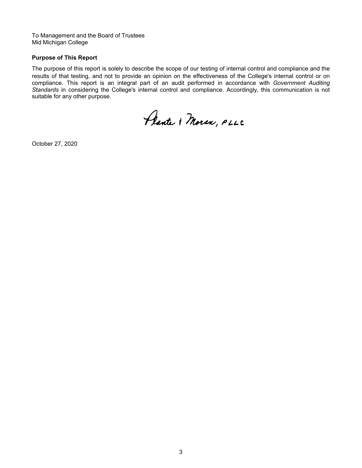To Management and the Board of Trustees Mid Michigan College

#### **Purpose of This Report**

The purpose of this report is solely to describe the scope of our testing of internal control and compliance and the results of that testing, and not to provide an opinion on the effectiveness of the College's internal control or on compliance. This report is an integral part of an audit performed in accordance with *Government Auditing Standards* in considering the College's internal control and compliance. Accordingly, this communication is not suitable for any other purpose.

Plante & Moran, PLLC

October 27, 2020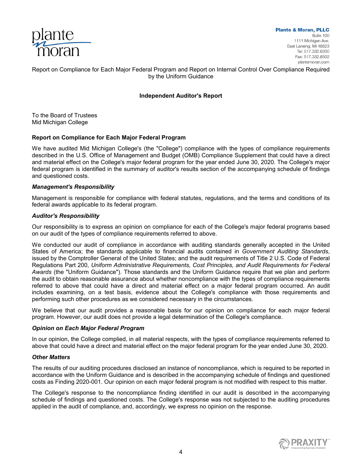

Report on Compliance for Each Major Federal Program and Report on Internal Control Over Compliance Required by the Uniform Guidance

### **Independent Auditor's Report**

To the Board of Trustees Mid Michigan College

### **Report on Compliance for Each Major Federal Program**

We have audited Mid Michigan College's (the "College") compliance with the types of compliance requirements described in the U.S. Office of Management and Budget (OMB) Compliance Supplement that could have a direct and material effect on the College's major federal program for the year ended June 30, 2020. The College's major federal program is identified in the summary of auditor's results section of the accompanying schedule of findings and questioned costs.

#### *Management's Responsibility*

Management is responsible for compliance with federal statutes, regulations, and the terms and conditions of its federal awards applicable to its federal program.

#### *Auditor's Responsibility*

Our responsibility is to express an opinion on compliance for each of the College's major federal programs based on our audit of the types of compliance requirements referred to above.

We conducted our audit of compliance in accordance with auditing standards generally accepted in the United States of America; the standards applicable to financial audits contained in *Government Auditing Standards*, issued by the Comptroller General of the United States; and the audit requirements of Title 2 U.S. Code of Federal Regulations Part 200, *Uniform Administrative Requirements, Cost Principles, and Audit Requirements for Federal Awards* (the "Uniform Guidance")*.* Those standards and the Uniform Guidance require that we plan and perform the audit to obtain reasonable assurance about whether noncompliance with the types of compliance requirements referred to above that could have a direct and material effect on a major federal program occurred. An audit includes examining, on a test basis, evidence about the College's compliance with those requirements and performing such other procedures as we considered necessary in the circumstances.

We believe that our audit provides a reasonable basis for our opinion on compliance for each major federal program. However, our audit does not provide a legal determination of the College's compliance.

### *Opinion on Each Major Federal Program*

In our opinion, the College complied, in all material respects, with the types of compliance requirements referred to above that could have a direct and material effect on the major federal program for the year ended June 30, 2020.

#### *Other Matters*

The results of our auditing procedures disclosed an instance of noncompliance, which is required to be reported in accordance with the Uniform Guidance and is described in the accompanying schedule of findings and questioned costs as Finding 2020-001. Our opinion on each major federal program is not modified with respect to this matter.

The College's response to the noncompliance finding identified in our audit is described in the accompanying schedule of findings and questioned costs. The College's response was not subjected to the auditing procedures applied in the audit of compliance, and, accordingly, we express no opinion on the response.

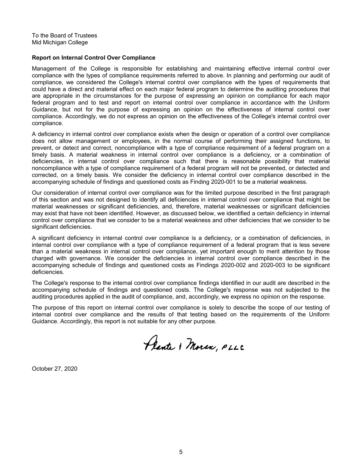To the Board of Trustees Mid Michigan College

#### **Report on Internal Control Over Compliance**

Management of the College is responsible for establishing and maintaining effective internal control over compliance with the types of compliance requirements referred to above. In planning and performing our audit of compliance, we considered the College's internal control over compliance with the types of requirements that could have a direct and material effect on each major federal program to determine the auditing procedures that are appropriate in the circumstances for the purpose of expressing an opinion on compliance for each major federal program and to test and report on internal control over compliance in accordance with the Uniform Guidance, but not for the purpose of expressing an opinion on the effectiveness of internal control over compliance. Accordingly, we do not express an opinion on the effectiveness of the College's internal control over compliance.

A deficiency in internal control over compliance exists when the design or operation of a control over compliance does not allow management or employees, in the normal course of performing their assigned functions, to prevent, or detect and correct, noncompliance with a type of compliance requirement of a federal program on a timely basis. A material weakness in internal control over compliance is a deficiency, or a combination of deficiencies, in internal control over compliance such that there is reasonable possibility that material noncompliance with a type of compliance requirement of a federal program will not be prevented, or detected and corrected, on a timely basis. We consider the deficiency in internal control over compliance described in the accompanying schedule of findings and questioned costs as Finding 2020-001 to be a material weakness.

Our consideration of internal control over compliance was for the limited purpose described in the first paragraph of this section and was not designed to identify all deficiencies in internal control over compliance that might be material weaknesses or significant deficiencies, and, therefore, material weaknesses or significant deficiencies may exist that have not been identified. However, as discussed below, we identified a certain deficiency in internal control over compliance that we consider to be a material weakness and other deficiencies that we consider to be significant deficiencies.

A significant deficiency in internal control over compliance is a deficiency, or a combination of deficiencies, in internal control over compliance with a type of compliance requirement of a federal program that is less severe than a material weakness in internal control over compliance, yet important enough to merit attention by those charged with governance. We consider the deficiencies in internal control over compliance described in the accompanying schedule of findings and questioned costs as Findings 2020-002 and 2020-003 to be significant deficiencies.

The College's response to the internal control over compliance findings identified in our audit are described in the accompanying schedule of findings and questioned costs. The College's response was not subjected to the auditing procedures applied in the audit of compliance, and, accordingly, we express no opinion on the response.

The purpose of this report on internal control over compliance is solely to describe the scope of our testing of internal control over compliance and the results of that testing based on the requirements of the Uniform Guidance. Accordingly, this report is not suitable for any other purpose.

Plante & Moran, PLLC

October 27, 2020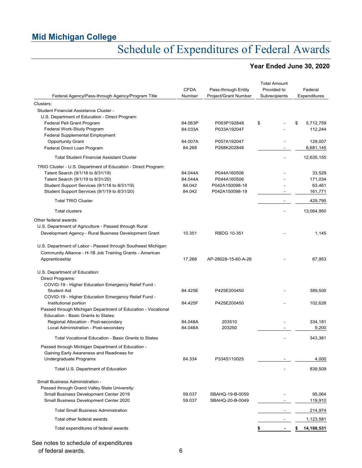# Schedule of Expenditures of Federal Awards

## **Year Ended June 30, 2020**

| Federal Agency/Pass-through Agency/Program Title                                                    | <b>CFDA</b><br>Number | Pass-through Entity<br><b>Project/Grant Number</b> | <b>Total Amount</b><br>Provided to<br>Subrecipients | Federal<br>Expenditures |
|-----------------------------------------------------------------------------------------------------|-----------------------|----------------------------------------------------|-----------------------------------------------------|-------------------------|
| Clusters:                                                                                           |                       |                                                    |                                                     |                         |
| Student Financial Assistance Cluster -                                                              |                       |                                                    |                                                     |                         |
| U.S. Department of Education - Direct Program:                                                      |                       |                                                    |                                                     |                         |
| Federal Pell Grant Program                                                                          | 84.063P               | P063P192848                                        | \$                                                  | 5,712,759<br>\$         |
| Federal Work-Study Program                                                                          | 84.033A               | P033A192047                                        |                                                     | 112,244                 |
| <b>Federal Supplemental Employment</b>                                                              |                       |                                                    |                                                     |                         |
| <b>Opportunity Grant</b>                                                                            | 84.007A               | P007A192047                                        |                                                     | 129,007                 |
| Federal Direct Loan Program                                                                         | 84.268                | P268K202848                                        |                                                     | 6,681,145               |
| <b>Total Student Financial Assistant Cluster</b>                                                    |                       |                                                    |                                                     | 12,635,155              |
| TRIO Cluster - U.S. Department of Education - Direct Program:                                       |                       |                                                    |                                                     |                         |
| Talent Search (9/1/18 to 8/31/19)                                                                   | 84.044A               | P044A160506                                        |                                                     | 33,529                  |
| Talent Search (9/1/19 to 8/31/20)                                                                   | 84.044A               | P044A160506                                        |                                                     | 171,034                 |
| Student Support Services (9/1/18 to 8/31/19)                                                        | 84.042                | P042A150098-18                                     |                                                     | 63,461                  |
| Student Support Services (9/1/19 to 8/31/20)                                                        | 84.042                | P042A150098-19                                     |                                                     | 161,771                 |
| <b>Total TRIO Cluster</b>                                                                           |                       |                                                    |                                                     | 429,795                 |
| <b>Total clusters</b>                                                                               |                       |                                                    |                                                     | 13,064,950              |
| Other federal awards:                                                                               |                       |                                                    |                                                     |                         |
| U.S. Department of Agriculture - Passed through Rural                                               |                       |                                                    |                                                     |                         |
| Development Agency - Rural Business Development Grant                                               | 10.351                | RBDG 10-351                                        |                                                     | 1.145                   |
| U.S. Department of Labor - Passed through Southeast Michigan                                        |                       |                                                    |                                                     |                         |
| Community Alliance - H-1B Job Training Grants - American                                            |                       |                                                    |                                                     |                         |
| Apprenticeship                                                                                      | 17.268                | AP-28028-15-60-A-26                                |                                                     | 67,953                  |
| U.S. Department of Education:                                                                       |                       |                                                    |                                                     |                         |
| Direct Programs:                                                                                    |                       |                                                    |                                                     |                         |
| COVID-19 - Higher Education Emergency Relief Fund -                                                 |                       |                                                    |                                                     |                         |
| <b>Student Aid</b>                                                                                  | 84.425E               | P425E200450                                        |                                                     | 389,500                 |
| COVID-19 - Higher Education Emergency Relief Fund -                                                 |                       |                                                    |                                                     |                         |
| Institutional portion                                                                               | 84.425F               | P425E200450                                        |                                                     | 102,628                 |
| Passed through Michigan Department of Education - Vocational<br>Education - Basic Grants to States: |                       |                                                    |                                                     |                         |
| Regional Allocation - Post-secondary                                                                | 84.048A               | 203510                                             |                                                     | 334,181                 |
| Local Administration - Post-secondary                                                               | 84.048A               | 203250                                             |                                                     | 9,200                   |
| Total Vocational Education - Basic Grants to States                                                 |                       |                                                    |                                                     | 343,381                 |
| Passed through Michigan Department of Education -                                                   |                       |                                                    |                                                     |                         |
| Gaining Early Awareness and Readiness for                                                           |                       |                                                    |                                                     |                         |
| Undergraduate Programs                                                                              | 84.334                | P334S110025                                        |                                                     | 4,000                   |
| Total U.S. Department of Education                                                                  |                       |                                                    |                                                     | 839,509                 |
| Small Business Administration -                                                                     |                       |                                                    |                                                     |                         |
|                                                                                                     |                       |                                                    |                                                     |                         |
| Passed through Grand Valley State University:                                                       | 59.037                |                                                    |                                                     | 95,064                  |
| Small Business Development Center 2019<br>Small Business Development Center 2020                    | 59.037                | SBAHQ-19-B-0059<br>SBAHQ-20-B-0049                 |                                                     | 119,910                 |
|                                                                                                     |                       |                                                    |                                                     |                         |
| <b>Total Small Business Administration</b>                                                          |                       |                                                    |                                                     | 214,974                 |
| Total other federal awards                                                                          |                       |                                                    |                                                     | 1,123,581               |
| Total expenditures of federal awards                                                                |                       |                                                    |                                                     | 14,188,531<br>\$        |
|                                                                                                     |                       |                                                    |                                                     |                         |

See notes to schedule of expenditures of federal awards. 6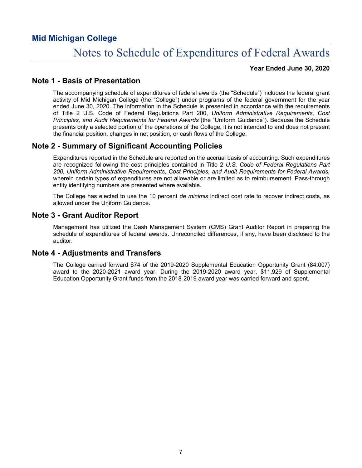# Notes to Schedule of Expenditures of Federal Awards

**Year Ended June 30, 2020**

## **Note 1 - Basis of Presentation**

The accompanying schedule of expenditures of federal awards (the "Schedule") includes the federal grant activity of Mid Michigan College (the "College") under programs of the federal government for the year ended June 30, 2020. The information in the Schedule is presented in accordance with the requirements of Title 2 U.S. Code of Federal Regulations Part 200, *Uniform Administrative Requirements, Cost Principles, and Audit Requirements for Federal Awards* (the "Uniform Guidance"). Because the Schedule presents only a selected portion of the operations of the College, it is not intended to and does not present the financial position, changes in net position, or cash flows of the College.

## **Note 2 - Summary of Significant Accounting Policies**

Expenditures reported in the Schedule are reported on the accrual basis of accounting. Such expenditures are recognized following the cost principles contained in Title 2 *U.S. Code of Federal Regulations Part 200, Uniform Administrative Requirements*, *Cost Principles, and Audit Requirements for Federal Awards,* wherein certain types of expenditures are not allowable or are limited as to reimbursement. Pass-through entity identifying numbers are presented where available.

The College has elected to use the 10 percent *de minimis* indirect cost rate to recover indirect costs, as allowed under the Uniform Guidance.

## **Note 3 - Grant Auditor Report**

Management has utilized the Cash Management System (CMS) Grant Auditor Report in preparing the schedule of expenditures of federal awards. Unreconciled differences, if any, have been disclosed to the auditor.

## **Note 4 - Adjustments and Transfers**

The College carried forward \$74 of the 2019-2020 Supplemental Education Opportunity Grant (84.007) award to the 2020-2021 award year. During the 2019-2020 award year, \$11,929 of Supplemental Education Opportunity Grant funds from the 2018-2019 award year was carried forward and spent.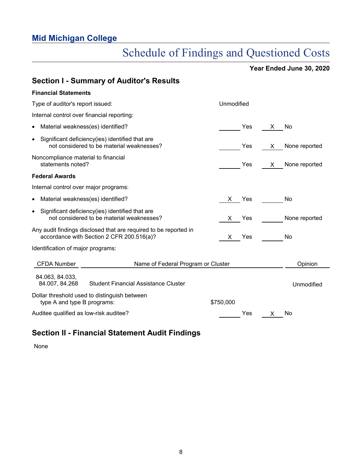# Schedule of Findings and Questioned Costs

**Year Ended June 30, 2020**

| <b>Section I - Summary of Auditor's Results</b>                                                               |                     |               |
|---------------------------------------------------------------------------------------------------------------|---------------------|---------------|
| <b>Financial Statements</b>                                                                                   |                     |               |
| Type of auditor's report issued:                                                                              | Unmodified          |               |
| Internal control over financial reporting:                                                                    |                     |               |
| • Material weakness(es) identified?                                                                           | <b>Yes</b><br>X.    | No            |
| • Significant deficiency(ies) identified that are<br>not considered to be material weaknesses?                | Yes.<br>X.          | None reported |
| Noncompliance material to financial<br>statements noted?                                                      | Yes<br>$\mathsf{X}$ | None reported |
| <b>Federal Awards</b>                                                                                         |                     |               |
| Internal control over major programs:                                                                         |                     |               |
| • Material weakness(es) identified?                                                                           | Yes<br>X —          | No            |
| • Significant deficiency(ies) identified that are<br>not considered to be material weaknesses?                | Yes<br>X.           | None reported |
| Any audit findings disclosed that are required to be reported in<br>accordance with Section 2 CFR 200.516(a)? | X Yes               | No            |
| Identification of major programs:                                                                             |                     |               |
| <b>CFDA Number</b><br>Name of Federal Program or Cluster                                                      |                     | Opinion       |
| 84.063, 84.033,<br>84.007, 84.268<br><b>Student Financial Assistance Cluster</b>                              |                     | Unmodified    |
| Dollar threshold used to distinguish between<br>type A and type B programs:                                   | \$750,000           |               |
| Auditee qualified as low-risk auditee?                                                                        | Yes<br>$\mathsf{X}$ | No            |

## **Section II - Financial Statement Audit Findings**

None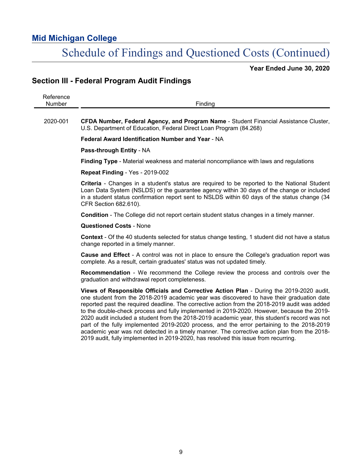# Schedule of Findings and Questioned Costs (Continued)

**Year Ended June 30, 2020**

## **Section III - Federal Program Audit Findings**

| Reference<br>Number | Finding                                                                                                                                                                                                                                                                                                                                                                                                                                                                                                                                                                                                                                                                                                                                                                   |
|---------------------|---------------------------------------------------------------------------------------------------------------------------------------------------------------------------------------------------------------------------------------------------------------------------------------------------------------------------------------------------------------------------------------------------------------------------------------------------------------------------------------------------------------------------------------------------------------------------------------------------------------------------------------------------------------------------------------------------------------------------------------------------------------------------|
| 2020-001            | CFDA Number, Federal Agency, and Program Name - Student Financial Assistance Cluster,<br>U.S. Department of Education, Federal Direct Loan Program (84.268)                                                                                                                                                                                                                                                                                                                                                                                                                                                                                                                                                                                                               |
|                     | Federal Award Identification Number and Year - NA                                                                                                                                                                                                                                                                                                                                                                                                                                                                                                                                                                                                                                                                                                                         |
|                     | Pass-through Entity - NA                                                                                                                                                                                                                                                                                                                                                                                                                                                                                                                                                                                                                                                                                                                                                  |
|                     | Finding Type - Material weakness and material noncompliance with laws and regulations                                                                                                                                                                                                                                                                                                                                                                                                                                                                                                                                                                                                                                                                                     |
|                     | Repeat Finding - Yes - 2019-002                                                                                                                                                                                                                                                                                                                                                                                                                                                                                                                                                                                                                                                                                                                                           |
|                     | Criteria - Changes in a student's status are required to be reported to the National Student<br>Loan Data System (NSLDS) or the guarantee agency within 30 days of the change or included<br>in a student status confirmation report sent to NSLDS within 60 days of the status change (34<br>CFR Section 682.610).                                                                                                                                                                                                                                                                                                                                                                                                                                                       |
|                     | Condition - The College did not report certain student status changes in a timely manner.                                                                                                                                                                                                                                                                                                                                                                                                                                                                                                                                                                                                                                                                                 |
|                     | <b>Questioned Costs - None</b>                                                                                                                                                                                                                                                                                                                                                                                                                                                                                                                                                                                                                                                                                                                                            |
|                     | <b>Context</b> - Of the 40 students selected for status change testing, 1 student did not have a status<br>change reported in a timely manner.                                                                                                                                                                                                                                                                                                                                                                                                                                                                                                                                                                                                                            |
|                     | <b>Cause and Effect</b> - A control was not in place to ensure the College's graduation report was<br>complete. As a result, certain graduates' status was not updated timely.                                                                                                                                                                                                                                                                                                                                                                                                                                                                                                                                                                                            |
|                     | Recommendation - We recommend the College review the process and controls over the<br>graduation and withdrawal report completeness.                                                                                                                                                                                                                                                                                                                                                                                                                                                                                                                                                                                                                                      |
|                     | Views of Responsible Officials and Corrective Action Plan - During the 2019-2020 audit,<br>one student from the 2018-2019 academic year was discovered to have their graduation date<br>reported past the required deadline. The corrective action from the 2018-2019 audit was added<br>to the double-check process and fully implemented in 2019-2020. However, because the 2019-<br>2020 audit included a student from the 2018-2019 academic year, this student's record was not<br>part of the fully implemented 2019-2020 process, and the error pertaining to the 2018-2019<br>academic year was not detected in a timely manner. The corrective action plan from the 2018-<br>2019 audit, fully implemented in 2019-2020, has resolved this issue from recurring. |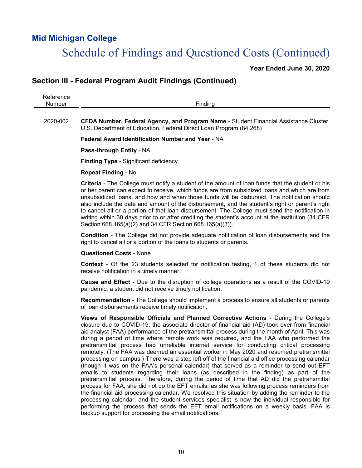# Schedule of Findings and Questioned Costs (Continued)

**Year Ended June 30, 2020**

## **Section III - Federal Program Audit Findings (Continued)**

| $\sim$<br>-      |                      |
|------------------|----------------------|
| ----<br>M<br>-11 | -<br>- - -<br>.<br>. |
|                  |                      |

2020-002 **CFDA Number, Federal Agency, and Program Name** - Student Financial Assistance Cluster, U.S. Department of Education, Federal Direct Loan Program (84.268)

**Federal Award Identification Number and Year** - NA

**Pass-through Entity** - NA

**Finding Type** - Significant deficiency

#### **Repeat Finding** - No

**Criteria** - The College must notify a student of the amount of loan funds that the student or his or her parent can expect to receive, which funds are from subsidized loans and which are from unsubsidized loans, and how and when those funds will be disbursed. The notification should also include the date and amount of the disbursement, and the student's right or parent's right to cancel all or a portion of that loan disbursement. The College must send the notification in writing within 30 days prior to or after crediting the student's account at the institution (34 CFR Section 668.165(a)(2) and 34 CFR Section 668.165(a)(3)).

**Condition** - The College did not provide adequate notification of loan disbursements and the right to cancel all or a portion of the loans to students or parents.

#### **Questioned Costs** - None

**Context** - Of the 23 students selected for notification testing, 1 of these students did not receive notification in a timely manner.

**Cause and Effect** - Due to the disruption of college operations as a result of the COVID-19 pandemic, a student did not receive timely notification.

**Recommendation** - The College should implement a process to ensure all students or parents of loan disbursements receive timely notification.

**Views of Responsible Officials and Planned Corrective Actions** - During the College's closure due to COVID-19, the associate director of financial aid (AD) took over from financial aid analyst (FAA) performance of the pretransmittal process during the month of April. This was during a period of time where remote work was required, and the FAA who performed the pretransmittal process had unreliable internet service for conducting critical processing remotely. (The FAA was deemed an essential worker in May 2020 and resumed pretransmittal processing on campus.) There was a step left off of the financial aid office processing calendar (though it was on the FAA's personal calendar) that served as a reminder to send out EFT emails to students regarding their loans (as described in the finding) as part of the pretransmittal process. Therefore, during the period of time that AD did the pretransmittal process for FAA, she did not do the EFT emails, as she was following process reminders from the financial aid processing calendar. We resolved this situation by adding the reminder to the processing calendar, and the student services specialist is now the individual responsible for performing the process that sends the EFT email notifications on a weekly basis. FAA is backup support for processing the email notifications.